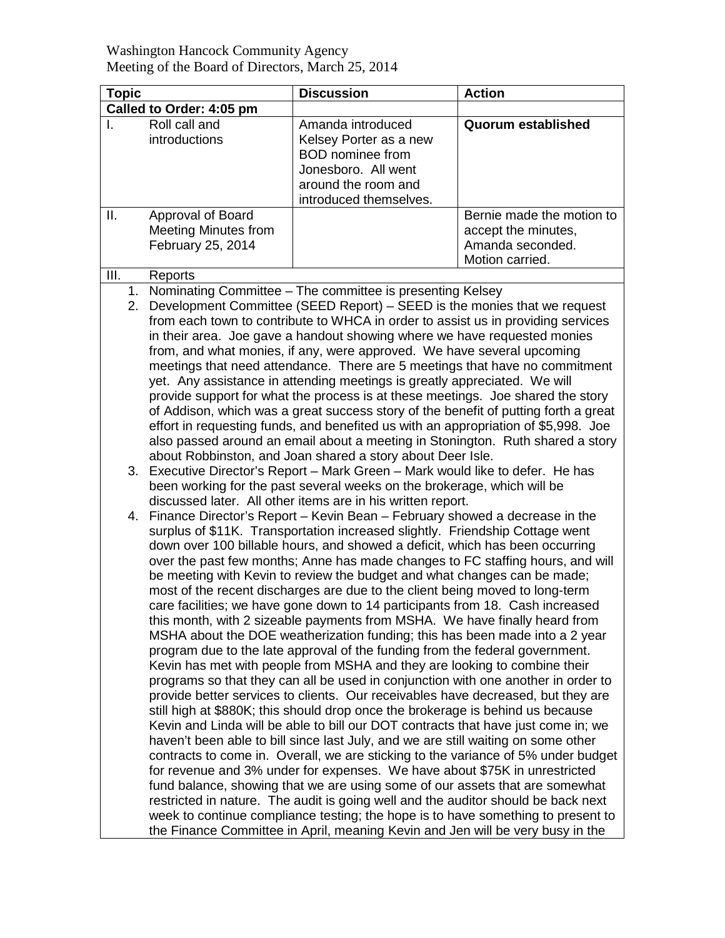| <b>Topic</b>             |                                                                                                                                                                                                                                                                                                                                                                                                                                                                                                                                                                                                                                                                                                                                                                                                                                                                                                                                                                                                                                                                                                                                                                                                                                                                                                                                                                                                                                                                                                                                                                                                                                                                                                                                                                                                                                                                                                                                                                                                  | <b>Discussion</b>                                                                                                                              | <b>Action</b>                                                                           |
|--------------------------|--------------------------------------------------------------------------------------------------------------------------------------------------------------------------------------------------------------------------------------------------------------------------------------------------------------------------------------------------------------------------------------------------------------------------------------------------------------------------------------------------------------------------------------------------------------------------------------------------------------------------------------------------------------------------------------------------------------------------------------------------------------------------------------------------------------------------------------------------------------------------------------------------------------------------------------------------------------------------------------------------------------------------------------------------------------------------------------------------------------------------------------------------------------------------------------------------------------------------------------------------------------------------------------------------------------------------------------------------------------------------------------------------------------------------------------------------------------------------------------------------------------------------------------------------------------------------------------------------------------------------------------------------------------------------------------------------------------------------------------------------------------------------------------------------------------------------------------------------------------------------------------------------------------------------------------------------------------------------------------------------|------------------------------------------------------------------------------------------------------------------------------------------------|-----------------------------------------------------------------------------------------|
| Called to Order: 4:05 pm |                                                                                                                                                                                                                                                                                                                                                                                                                                                                                                                                                                                                                                                                                                                                                                                                                                                                                                                                                                                                                                                                                                                                                                                                                                                                                                                                                                                                                                                                                                                                                                                                                                                                                                                                                                                                                                                                                                                                                                                                  |                                                                                                                                                |                                                                                         |
|                          | Roll call and<br>introductions                                                                                                                                                                                                                                                                                                                                                                                                                                                                                                                                                                                                                                                                                                                                                                                                                                                                                                                                                                                                                                                                                                                                                                                                                                                                                                                                                                                                                                                                                                                                                                                                                                                                                                                                                                                                                                                                                                                                                                   | Amanda introduced<br>Kelsey Porter as a new<br><b>BOD</b> nominee from<br>Jonesboro. All went<br>around the room and<br>introduced themselves. | Quorum established                                                                      |
| ΙΙ.                      | Approval of Board<br><b>Meeting Minutes from</b><br>February 25, 2014                                                                                                                                                                                                                                                                                                                                                                                                                                                                                                                                                                                                                                                                                                                                                                                                                                                                                                                                                                                                                                                                                                                                                                                                                                                                                                                                                                                                                                                                                                                                                                                                                                                                                                                                                                                                                                                                                                                            |                                                                                                                                                | Bernie made the motion to<br>accept the minutes,<br>Amanda seconded.<br>Motion carried. |
| III.                     | Reports                                                                                                                                                                                                                                                                                                                                                                                                                                                                                                                                                                                                                                                                                                                                                                                                                                                                                                                                                                                                                                                                                                                                                                                                                                                                                                                                                                                                                                                                                                                                                                                                                                                                                                                                                                                                                                                                                                                                                                                          |                                                                                                                                                |                                                                                         |
| 1.<br>2.                 | Nominating Committee - The committee is presenting Kelsey<br>Development Committee (SEED Report) – SEED is the monies that we request<br>from each town to contribute to WHCA in order to assist us in providing services<br>in their area. Joe gave a handout showing where we have requested monies<br>from, and what monies, if any, were approved. We have several upcoming<br>meetings that need attendance. There are 5 meetings that have no commitment<br>yet. Any assistance in attending meetings is greatly appreciated. We will<br>provide support for what the process is at these meetings. Joe shared the story<br>of Addison, which was a great success story of the benefit of putting forth a great<br>effort in requesting funds, and benefited us with an appropriation of \$5,998. Joe<br>also passed around an email about a meeting in Stonington. Ruth shared a story<br>about Robbinston, and Joan shared a story about Deer Isle.                                                                                                                                                                                                                                                                                                                                                                                                                                                                                                                                                                                                                                                                                                                                                                                                                                                                                                                                                                                                                                      |                                                                                                                                                |                                                                                         |
|                          |                                                                                                                                                                                                                                                                                                                                                                                                                                                                                                                                                                                                                                                                                                                                                                                                                                                                                                                                                                                                                                                                                                                                                                                                                                                                                                                                                                                                                                                                                                                                                                                                                                                                                                                                                                                                                                                                                                                                                                                                  | 3. Executive Director's Report - Mark Green - Mark would like to defer. He has                                                                 |                                                                                         |
| 4.                       | been working for the past several weeks on the brokerage, which will be<br>discussed later. All other items are in his written report.<br>Finance Director's Report – Kevin Bean – February showed a decrease in the<br>surplus of \$11K. Transportation increased slightly. Friendship Cottage went<br>down over 100 billable hours, and showed a deficit, which has been occurring<br>over the past few months; Anne has made changes to FC staffing hours, and will<br>be meeting with Kevin to review the budget and what changes can be made;<br>most of the recent discharges are due to the client being moved to long-term<br>care facilities; we have gone down to 14 participants from 18. Cash increased<br>this month, with 2 sizeable payments from MSHA. We have finally heard from<br>MSHA about the DOE weatherization funding; this has been made into a 2 year<br>program due to the late approval of the funding from the federal government.<br>Kevin has met with people from MSHA and they are looking to combine their<br>programs so that they can all be used in conjunction with one another in order to<br>provide better services to clients. Our receivables have decreased, but they are<br>still high at \$880K; this should drop once the brokerage is behind us because<br>Kevin and Linda will be able to bill our DOT contracts that have just come in; we<br>haven't been able to bill since last July, and we are still waiting on some other<br>contracts to come in. Overall, we are sticking to the variance of 5% under budget<br>for revenue and 3% under for expenses. We have about \$75K in unrestricted<br>fund balance, showing that we are using some of our assets that are somewhat<br>restricted in nature. The audit is going well and the auditor should be back next<br>week to continue compliance testing; the hope is to have something to present to<br>the Finance Committee in April, meaning Kevin and Jen will be very busy in the |                                                                                                                                                |                                                                                         |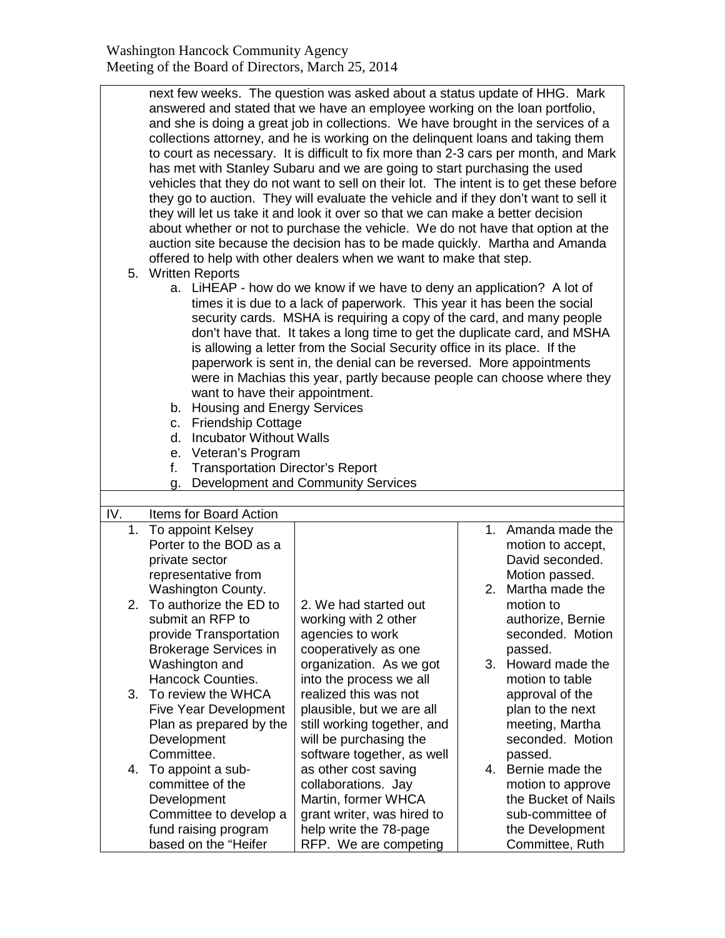|     | next few weeks. The question was asked about a status update of HHG. Mark<br>answered and stated that we have an employee working on the loan portfolio,<br>and she is doing a great job in collections. We have brought in the services of a<br>collections attorney, and he is working on the delinquent loans and taking them<br>to court as necessary. It is difficult to fix more than 2-3 cars per month, and Mark<br>has met with Stanley Subaru and we are going to start purchasing the used<br>vehicles that they do not want to sell on their lot. The intent is to get these before<br>they go to auction. They will evaluate the vehicle and if they don't want to sell it<br>they will let us take it and look it over so that we can make a better decision<br>about whether or not to purchase the vehicle. We do not have that option at the<br>auction site because the decision has to be made quickly. Martha and Amanda<br>offered to help with other dealers when we want to make that step.<br>5. Written Reports<br>a. LiHEAP - how do we know if we have to deny an application? A lot of<br>times it is due to a lack of paperwork. This year it has been the social<br>security cards. MSHA is requiring a copy of the card, and many people<br>don't have that. It takes a long time to get the duplicate card, and MSHA<br>is allowing a letter from the Social Security office in its place. If the<br>paperwork is sent in, the denial can be reversed. More appointments<br>were in Machias this year, partly because people can choose where they<br>want to have their appointment.<br>b. Housing and Energy Services<br><b>Friendship Cottage</b><br>C.<br><b>Incubator Without Walls</b><br>d.<br>Veteran's Program<br>е.<br><b>Transportation Director's Report</b><br>f.<br>Development and Community Services<br>g. |                                                                                                                                                     |                                                                                                                          |  |
|-----|------------------------------------------------------------------------------------------------------------------------------------------------------------------------------------------------------------------------------------------------------------------------------------------------------------------------------------------------------------------------------------------------------------------------------------------------------------------------------------------------------------------------------------------------------------------------------------------------------------------------------------------------------------------------------------------------------------------------------------------------------------------------------------------------------------------------------------------------------------------------------------------------------------------------------------------------------------------------------------------------------------------------------------------------------------------------------------------------------------------------------------------------------------------------------------------------------------------------------------------------------------------------------------------------------------------------------------------------------------------------------------------------------------------------------------------------------------------------------------------------------------------------------------------------------------------------------------------------------------------------------------------------------------------------------------------------------------------------------------------------------------------------------------------------------------------------------------------------------------|-----------------------------------------------------------------------------------------------------------------------------------------------------|--------------------------------------------------------------------------------------------------------------------------|--|
|     |                                                                                                                                                                                                                                                                                                                                                                                                                                                                                                                                                                                                                                                                                                                                                                                                                                                                                                                                                                                                                                                                                                                                                                                                                                                                                                                                                                                                                                                                                                                                                                                                                                                                                                                                                                                                                                                            |                                                                                                                                                     |                                                                                                                          |  |
| IV. | Items for Board Action<br>1. To appoint Kelsey                                                                                                                                                                                                                                                                                                                                                                                                                                                                                                                                                                                                                                                                                                                                                                                                                                                                                                                                                                                                                                                                                                                                                                                                                                                                                                                                                                                                                                                                                                                                                                                                                                                                                                                                                                                                             |                                                                                                                                                     | 1. Amanda made the                                                                                                       |  |
| 2.  | Porter to the BOD as a<br>private sector<br>representative from<br>Washington County.<br>To authorize the ED to                                                                                                                                                                                                                                                                                                                                                                                                                                                                                                                                                                                                                                                                                                                                                                                                                                                                                                                                                                                                                                                                                                                                                                                                                                                                                                                                                                                                                                                                                                                                                                                                                                                                                                                                            | 2. We had started out                                                                                                                               | motion to accept,<br>David seconded.<br>Motion passed.<br>2. Martha made the<br>motion to                                |  |
|     | submit an RFP to<br>provide Transportation<br><b>Brokerage Services in</b><br>Washington and<br><b>Hancock Counties.</b>                                                                                                                                                                                                                                                                                                                                                                                                                                                                                                                                                                                                                                                                                                                                                                                                                                                                                                                                                                                                                                                                                                                                                                                                                                                                                                                                                                                                                                                                                                                                                                                                                                                                                                                                   | working with 2 other<br>agencies to work<br>cooperatively as one<br>organization. As we got<br>into the process we all                              | authorize, Bernie<br>seconded. Motion<br>passed.<br>3. Howard made the<br>motion to table                                |  |
| 3.  | To review the WHCA<br><b>Five Year Development</b><br>Plan as prepared by the<br>Development<br>Committee.                                                                                                                                                                                                                                                                                                                                                                                                                                                                                                                                                                                                                                                                                                                                                                                                                                                                                                                                                                                                                                                                                                                                                                                                                                                                                                                                                                                                                                                                                                                                                                                                                                                                                                                                                 | realized this was not<br>plausible, but we are all<br>still working together, and<br>will be purchasing the<br>software together, as well           | approval of the<br>plan to the next<br>meeting, Martha<br>seconded. Motion<br>passed.                                    |  |
| 4.  | To appoint a sub-<br>committee of the<br>Development<br>Committee to develop a<br>fund raising program<br>based on the "Heifer                                                                                                                                                                                                                                                                                                                                                                                                                                                                                                                                                                                                                                                                                                                                                                                                                                                                                                                                                                                                                                                                                                                                                                                                                                                                                                                                                                                                                                                                                                                                                                                                                                                                                                                             | as other cost saving<br>collaborations. Jay<br>Martin, former WHCA<br>grant writer, was hired to<br>help write the 78-page<br>RFP. We are competing | 4. Bernie made the<br>motion to approve<br>the Bucket of Nails<br>sub-committee of<br>the Development<br>Committee, Ruth |  |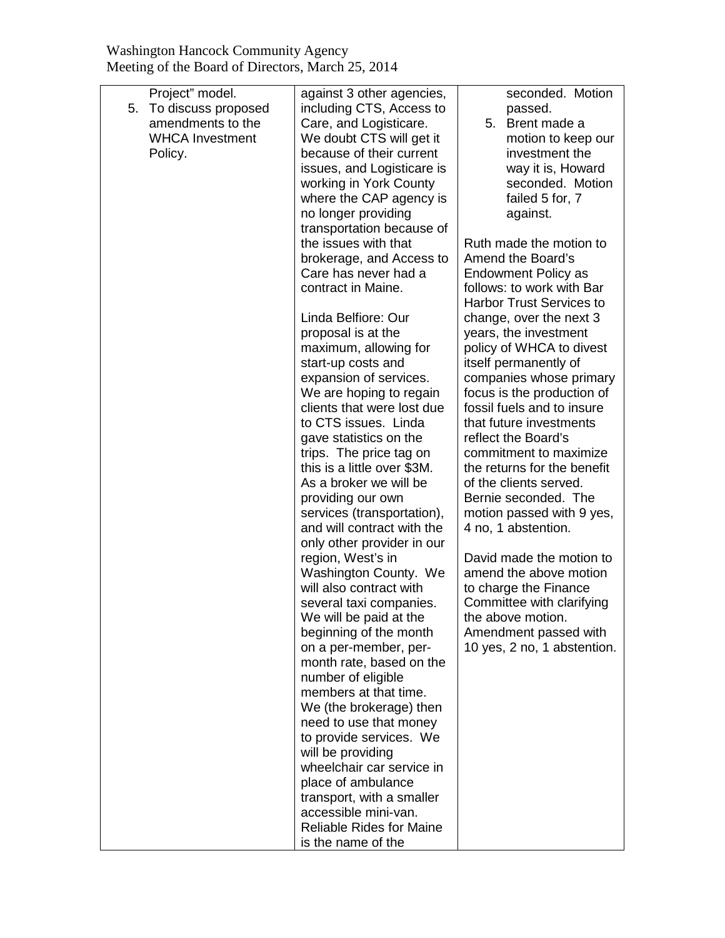|    | Project" model.        | against 3 other agencies,                         | seconded. Motion                |
|----|------------------------|---------------------------------------------------|---------------------------------|
| 5. | To discuss proposed    | including CTS, Access to                          | passed.                         |
|    | amendments to the      | Care, and Logisticare.                            | 5. Brent made a                 |
|    | <b>WHCA Investment</b> | We doubt CTS will get it                          | motion to keep our              |
|    | Policy.                | because of their current                          | investment the                  |
|    |                        | issues, and Logisticare is                        | way it is, Howard               |
|    |                        | working in York County                            | seconded. Motion                |
|    |                        | where the CAP agency is                           | failed 5 for, 7                 |
|    |                        | no longer providing                               | against.                        |
|    |                        | transportation because of                         |                                 |
|    |                        | the issues with that                              | Ruth made the motion to         |
|    |                        | brokerage, and Access to                          | Amend the Board's               |
|    |                        | Care has never had a                              | <b>Endowment Policy as</b>      |
|    |                        | contract in Maine.                                | follows: to work with Bar       |
|    |                        |                                                   | <b>Harbor Trust Services to</b> |
|    |                        | Linda Belfiore: Our                               | change, over the next 3         |
|    |                        | proposal is at the                                | years, the investment           |
|    |                        | maximum, allowing for                             | policy of WHCA to divest        |
|    |                        | start-up costs and                                | itself permanently of           |
|    |                        | expansion of services.                            | companies whose primary         |
|    |                        | We are hoping to regain                           | focus is the production of      |
|    |                        | clients that were lost due                        | fossil fuels and to insure      |
|    |                        | to CTS issues. Linda                              | that future investments         |
|    |                        | gave statistics on the                            | reflect the Board's             |
|    |                        | trips. The price tag on                           | commitment to maximize          |
|    |                        | this is a little over \$3M.                       | the returns for the benefit     |
|    |                        | As a broker we will be                            | of the clients served.          |
|    |                        | providing our own                                 | Bernie seconded. The            |
|    |                        | services (transportation),                        | motion passed with 9 yes,       |
|    |                        | and will contract with the                        | 4 no, 1 abstention.             |
|    |                        | only other provider in our                        |                                 |
|    |                        | region, West's in                                 | David made the motion to        |
|    |                        | Washington County. We                             | amend the above motion          |
|    |                        | will also contract with                           | to charge the Finance           |
|    |                        | several taxi companies.                           | Committee with clarifying       |
|    |                        | We will be paid at the                            | the above motion.               |
|    |                        | beginning of the month                            | Amendment passed with           |
|    |                        | on a per-member, per-                             | 10 yes, 2 no, 1 abstention.     |
|    |                        | month rate, based on the                          |                                 |
|    |                        | number of eligible                                |                                 |
|    |                        | members at that time.                             |                                 |
|    |                        | We (the brokerage) then                           |                                 |
|    |                        | need to use that money                            |                                 |
|    |                        | to provide services. We<br>will be providing      |                                 |
|    |                        | wheelchair car service in                         |                                 |
|    |                        | place of ambulance                                |                                 |
|    |                        |                                                   |                                 |
|    |                        | transport, with a smaller<br>accessible mini-van. |                                 |
|    |                        | <b>Reliable Rides for Maine</b>                   |                                 |
|    |                        | is the name of the                                |                                 |
|    |                        |                                                   |                                 |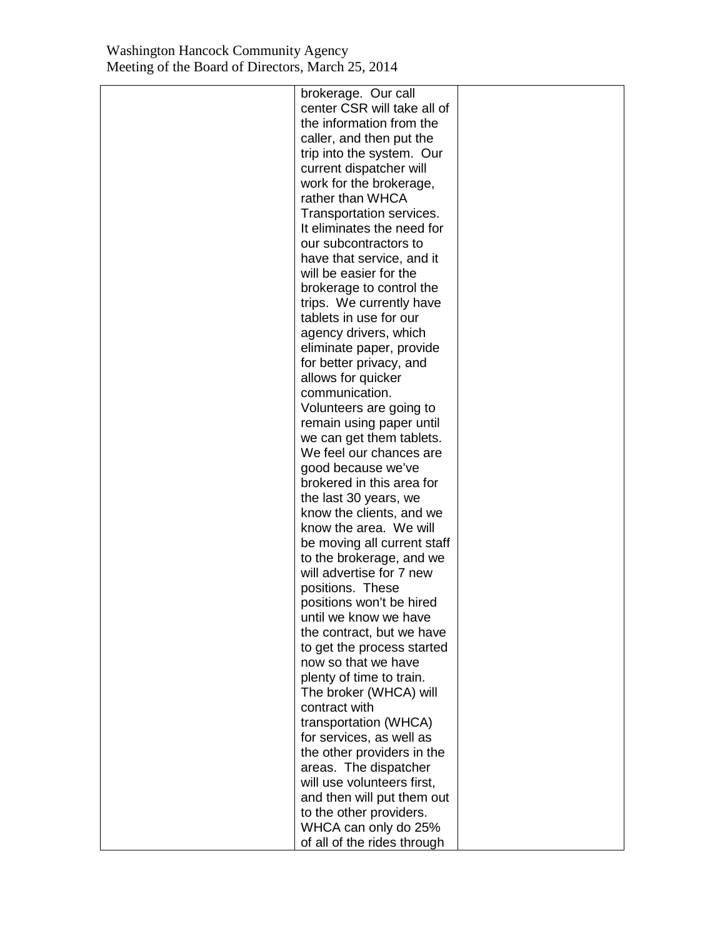| brokerage. Our call         |  |
|-----------------------------|--|
| center CSR will take all of |  |
| the information from the    |  |
| caller, and then put the    |  |
| trip into the system. Our   |  |
| current dispatcher will     |  |
| work for the brokerage,     |  |
| rather than WHCA            |  |
| Transportation services.    |  |
| It eliminates the need for  |  |
| our subcontractors to       |  |
| have that service, and it   |  |
| will be easier for the      |  |
| brokerage to control the    |  |
| trips. We currently have    |  |
| tablets in use for our      |  |
| agency drivers, which       |  |
| eliminate paper, provide    |  |
| for better privacy, and     |  |
| allows for quicker          |  |
| communication.              |  |
| Volunteers are going to     |  |
| remain using paper until    |  |
| we can get them tablets.    |  |
| We feel our chances are     |  |
| good because we've          |  |
| brokered in this area for   |  |
| the last 30 years, we       |  |
| know the clients, and we    |  |
| know the area. We will      |  |
| be moving all current staff |  |
| to the brokerage, and we    |  |
| will advertise for 7 new    |  |
| positions. These            |  |
| positions won't be hired    |  |
| until we know we have       |  |
| the contract, but we have   |  |
| to get the process started  |  |
| now so that we have         |  |
| plenty of time to train.    |  |
| The broker (WHCA) will      |  |
| contract with               |  |
| transportation (WHCA)       |  |
| for services, as well as    |  |
| the other providers in the  |  |
| areas. The dispatcher       |  |
| will use volunteers first,  |  |
| and then will put them out  |  |
| to the other providers.     |  |
| WHCA can only do 25%        |  |
| of all of the rides through |  |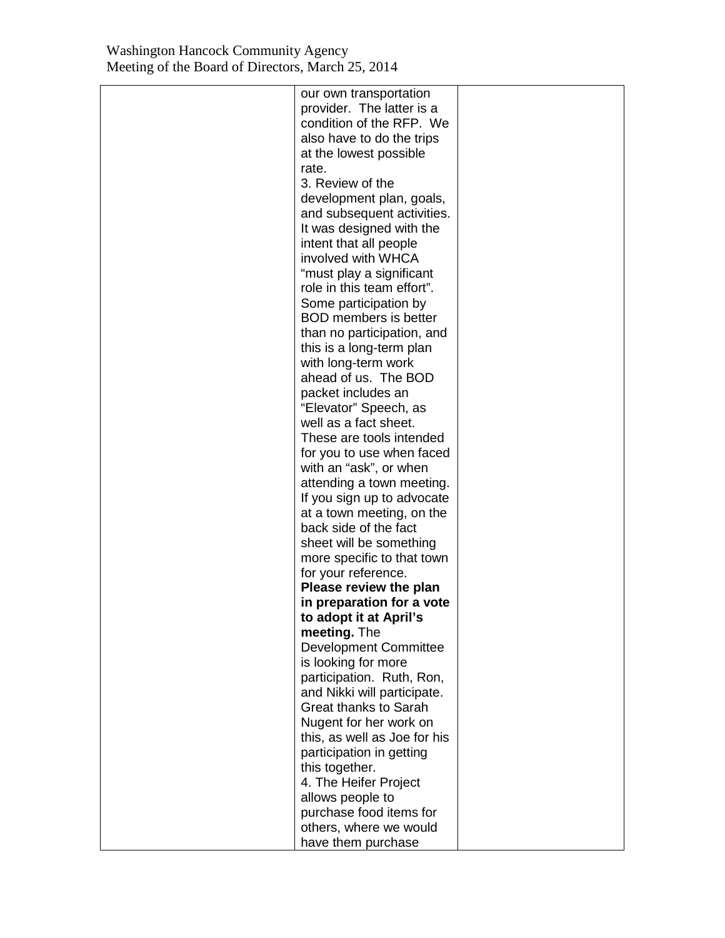| our own transportation       |  |
|------------------------------|--|
| provider. The latter is a    |  |
| condition of the RFP. We     |  |
|                              |  |
| also have to do the trips    |  |
| at the lowest possible       |  |
| rate.                        |  |
| 3. Review of the             |  |
| development plan, goals,     |  |
| and subsequent activities.   |  |
| It was designed with the     |  |
| intent that all people       |  |
| involved with WHCA           |  |
| "must play a significant     |  |
| role in this team effort".   |  |
| Some participation by        |  |
| <b>BOD</b> members is better |  |
|                              |  |
| than no participation, and   |  |
| this is a long-term plan     |  |
| with long-term work          |  |
| ahead of us. The BOD         |  |
| packet includes an           |  |
| "Elevator" Speech, as        |  |
| well as a fact sheet.        |  |
| These are tools intended     |  |
| for you to use when faced    |  |
| with an "ask", or when       |  |
| attending a town meeting.    |  |
| If you sign up to advocate   |  |
| at a town meeting, on the    |  |
| back side of the fact        |  |
| sheet will be something      |  |
| more specific to that town   |  |
| for your reference.          |  |
| Please review the plan       |  |
|                              |  |
| in preparation for a vote    |  |
| to adopt it at April's       |  |
| meeting. The                 |  |
| <b>Development Committee</b> |  |
| is looking for more          |  |
| participation. Ruth, Ron,    |  |
| and Nikki will participate.  |  |
| <b>Great thanks to Sarah</b> |  |
| Nugent for her work on       |  |
| this, as well as Joe for his |  |
| participation in getting     |  |
| this together.               |  |
| 4. The Heifer Project        |  |
| allows people to             |  |
| purchase food items for      |  |
| others, where we would       |  |
| have them purchase           |  |
|                              |  |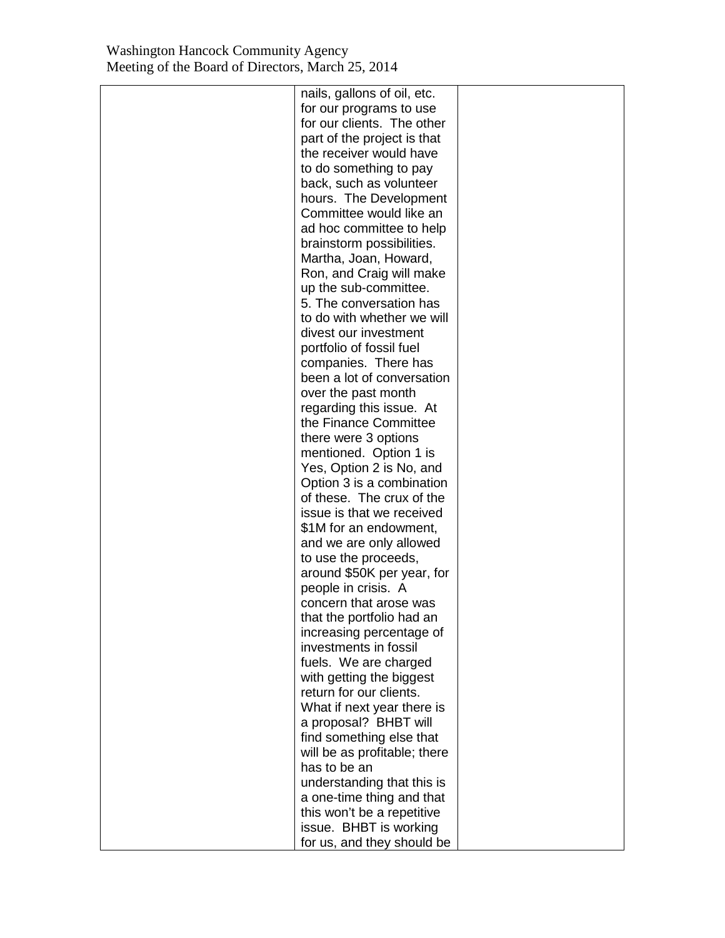| nails, gallons of oil, etc.  |  |
|------------------------------|--|
| for our programs to use      |  |
| for our clients. The other   |  |
| part of the project is that  |  |
| the receiver would have      |  |
| to do something to pay       |  |
| back, such as volunteer      |  |
| hours. The Development       |  |
| Committee would like an      |  |
| ad hoc committee to help     |  |
| brainstorm possibilities.    |  |
| Martha, Joan, Howard,        |  |
| Ron, and Craig will make     |  |
| up the sub-committee.        |  |
| 5. The conversation has      |  |
| to do with whether we will   |  |
| divest our investment        |  |
| portfolio of fossil fuel     |  |
| companies. There has         |  |
| been a lot of conversation   |  |
| over the past month          |  |
| regarding this issue. At     |  |
| the Finance Committee        |  |
| there were 3 options         |  |
| mentioned. Option 1 is       |  |
| Yes, Option 2 is No, and     |  |
| Option 3 is a combination    |  |
| of these. The crux of the    |  |
| issue is that we received    |  |
| \$1M for an endowment,       |  |
| and we are only allowed      |  |
| to use the proceeds,         |  |
| around \$50K per year, for   |  |
| people in crisis. A          |  |
| concern that arose was       |  |
| that the portfolio had an    |  |
| increasing percentage of     |  |
| investments in fossil        |  |
| fuels. We are charged        |  |
| with getting the biggest     |  |
| return for our clients.      |  |
| What if next year there is   |  |
| a proposal? BHBT will        |  |
| find something else that     |  |
| will be as profitable; there |  |
| has to be an                 |  |
| understanding that this is   |  |
| a one-time thing and that    |  |
| this won't be a repetitive   |  |
| issue. BHBT is working       |  |
| for us, and they should be   |  |